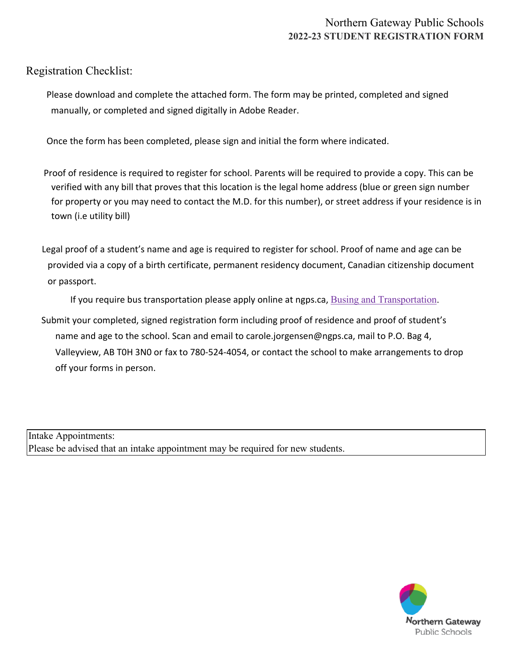Registration Checklist:

Please download and complete the attached form. The form may be printed, completed and signed manually, or completed and signed digitally in Adobe Reader.

Once the form has been completed, please sign and initial the form where indicated.

- Proof of residence is required to register for school. Parents will be required to provide a copy. This can be verified with any bill that proves that this location is the legal home address (blue or green sign number for property or you may need to contact the M.D. for this number), or street address if your residence is in town (i.e utility bill)
- Legal proof of a student's name and age is required to register for school. Proof of name and age can be provided via a copy of a birth certificate, permanent residency document, Canadian citizenship document or passport.

If you require bus transportation please apply online at ngps.ca, Busing and Transportation.

 Submit your completed, signed registration form including proof of residence and proof of student's name and age to the school. Scan and email to c[arole.jorgensen@ngps.ca, mai](https://www.ngps.ca/students-and-parents/busing-and-transportation2)l to P.O. Bag 4, Valleyview, AB T0H 3N0 or fax to 780-524-4054, or contact the school to make arrangements to drop off your forms in person.

Intake Appointments: Please be advised that an intake appointment may be required for new students.

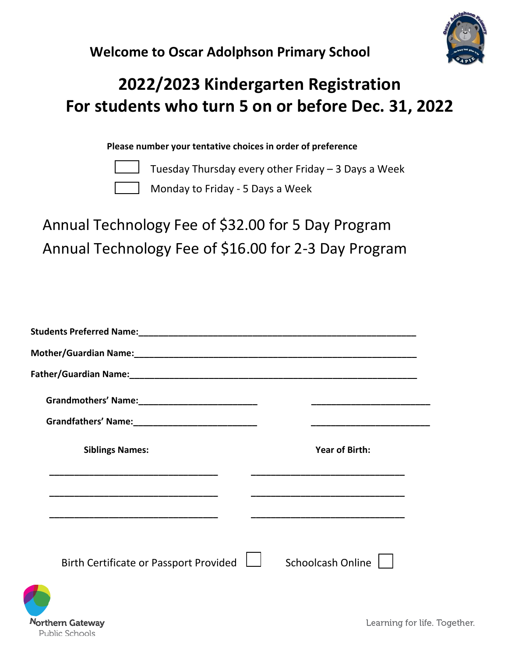



## **2022/2023 Kindergarten Registration For students who turn 5 on or before Dec. 31, 2022**

**Please number your tentative choices in order of preference**

orthern Gateway

Public Schools

Tuesday Thursday every other Friday – 3 Days a Week

Monday to Friday - 5 Days a Week

Annual Technology Fee of \$32.00 for 5 Day Program Annual Technology Fee of \$16.00 for 2-3 Day Program

| <b>Siblings Names:</b>                 | <b>Year of Birth:</b> |
|----------------------------------------|-----------------------|
|                                        |                       |
|                                        |                       |
| Birth Certificate or Passport Provided | Schoolcash Online     |
|                                        |                       |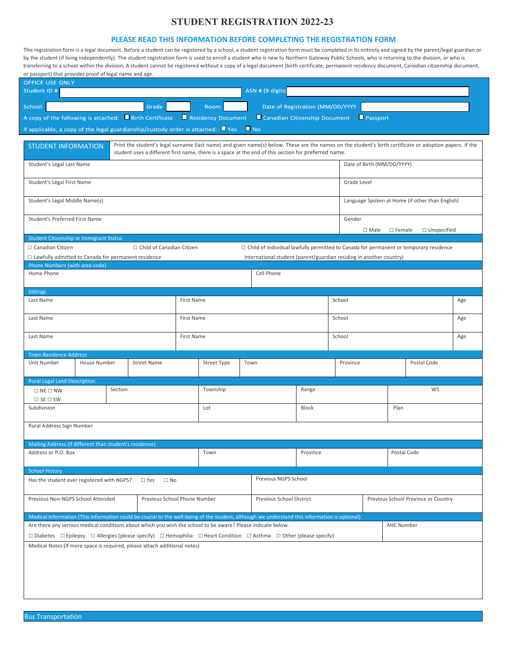## **STUDENT REGISTRATION 2022-23**

## **PLEASE READ THIS INFORMATION BEFORE COMPLETING THE REGISTRATION FORM**

This registration form is a legal document. Before a student can be registered by a school, a student registration form must be completed in its entirety and signed by the parent/legal guardian or by the student (if living independently). The student registration form is used to enroll a student who is new to Northern Gateway Public Schools, who is returning to the division, or who is transferring to a school within the division. A student cannot be registered without a copy of a legal document (birth certificate, permanent residency document, Canadian citizenship document, or passport) that provides proof of legal name and age.

| <b>OFFICE USE ONLY</b><br>Student ID #                                                                                                                                                                                                                                                         |         |                               |            |                                                                 |      | ASN # (9 digits                                                     |                         |             |             |                   |                                                                                              |  |
|------------------------------------------------------------------------------------------------------------------------------------------------------------------------------------------------------------------------------------------------------------------------------------------------|---------|-------------------------------|------------|-----------------------------------------------------------------|------|---------------------------------------------------------------------|-------------------------|-------------|-------------|-------------------|----------------------------------------------------------------------------------------------|--|
|                                                                                                                                                                                                                                                                                                |         |                               |            |                                                                 |      |                                                                     |                         |             |             |                   |                                                                                              |  |
| School<br>Grade<br>Room<br>Date of Registration (MM/DD/YYYY<br>A copy of the following is attached: Birth Certificate Residency Document<br>Canadian Citizenship Document<br>Passport                                                                                                          |         |                               |            |                                                                 |      |                                                                     |                         |             |             |                   |                                                                                              |  |
|                                                                                                                                                                                                                                                                                                |         |                               |            |                                                                 |      |                                                                     |                         |             |             |                   |                                                                                              |  |
| If applicable, a copy of the legal guardianship/custody order is attached: $\blacksquare$ Yes $\blacksquare$ No                                                                                                                                                                                |         |                               |            |                                                                 |      |                                                                     |                         |             |             |                   |                                                                                              |  |
| Print the student's legal surname (last name) and given name(s) below. These are the names on the student's birth certificate or adoption papers. If the<br><b>STUDENT INFORMATION</b><br>student uses a different first name, there is a space at the end of this section for preferred name. |         |                               |            |                                                                 |      |                                                                     |                         |             |             |                   |                                                                                              |  |
| Date of Birth (MM/DD/YYYY)<br>Student's Legal Last Name                                                                                                                                                                                                                                        |         |                               |            |                                                                 |      |                                                                     |                         |             |             |                   |                                                                                              |  |
| Student's Legal First Name                                                                                                                                                                                                                                                                     |         |                               |            |                                                                 |      |                                                                     |                         | Grade Level |             |                   |                                                                                              |  |
| Student's Legal Middle Name(s)                                                                                                                                                                                                                                                                 |         |                               |            |                                                                 |      |                                                                     |                         |             |             |                   | Language Spoken at Home (if other than English)                                              |  |
| Student's Preferred First Name                                                                                                                                                                                                                                                                 |         |                               |            |                                                                 |      |                                                                     |                         | Gender      | $\Box$ Male | $\Box$ Female     | □ Unspecified                                                                                |  |
| <b>Student Citizenship or Immigrant Status</b>                                                                                                                                                                                                                                                 |         |                               |            |                                                                 |      |                                                                     |                         |             |             |                   |                                                                                              |  |
| □ Canadian Citizen                                                                                                                                                                                                                                                                             |         | □ Child of Canadian Citizen   |            |                                                                 |      |                                                                     |                         |             |             |                   | $\Box$ Child of individual lawfully permitted to Canada for permanent or temporary residence |  |
| □ Lawfully admitted to Canada for permanent residence                                                                                                                                                                                                                                          |         |                               |            |                                                                 |      | International student (parent/guardian residing in another country) |                         |             |             |                   |                                                                                              |  |
| Phone Numbers (with area code)<br>Home Phone                                                                                                                                                                                                                                                   |         |                               |            |                                                                 |      | Cell Phone                                                          |                         |             |             |                   |                                                                                              |  |
| <b>Siblings</b>                                                                                                                                                                                                                                                                                |         |                               |            |                                                                 |      |                                                                     |                         |             |             |                   |                                                                                              |  |
| Last Name                                                                                                                                                                                                                                                                                      |         |                               | First Name |                                                                 |      |                                                                     |                         | School      |             |                   | Age                                                                                          |  |
| Last Name                                                                                                                                                                                                                                                                                      |         |                               | First Name |                                                                 |      | School                                                              |                         |             |             | Age               |                                                                                              |  |
| Last Name                                                                                                                                                                                                                                                                                      |         |                               | First Name |                                                                 |      |                                                                     |                         | School      | Age         |                   |                                                                                              |  |
| <b>Town Residence Address</b>                                                                                                                                                                                                                                                                  |         |                               |            |                                                                 |      |                                                                     |                         |             |             |                   |                                                                                              |  |
| Unit Number<br>House Number                                                                                                                                                                                                                                                                    |         | <b>Street Name</b>            |            | Street Type                                                     | Town | Province                                                            |                         | Postal Code |             |                   |                                                                                              |  |
| <b>Rural Legal Land Description</b>                                                                                                                                                                                                                                                            |         |                               |            |                                                                 |      |                                                                     |                         |             |             |                   |                                                                                              |  |
| $\Box$ NE $\Box$ NW                                                                                                                                                                                                                                                                            | Section |                               |            | Township                                                        |      |                                                                     | Range                   |             |             | W <sub>5</sub>    |                                                                                              |  |
| $\square$ SE $\square$ SW<br>Subdivision                                                                                                                                                                                                                                                       |         |                               |            | Lot                                                             |      | Block                                                               |                         |             |             | Plan              |                                                                                              |  |
|                                                                                                                                                                                                                                                                                                |         |                               |            |                                                                 |      |                                                                     |                         |             |             |                   |                                                                                              |  |
| Rural Address Sign Number                                                                                                                                                                                                                                                                      |         |                               |            |                                                                 |      |                                                                     |                         |             |             |                   |                                                                                              |  |
| Mailing Address (if different than student's residence)                                                                                                                                                                                                                                        |         |                               |            |                                                                 |      |                                                                     |                         |             |             |                   |                                                                                              |  |
| Address or P.O. Box                                                                                                                                                                                                                                                                            |         |                               |            | Town                                                            |      |                                                                     | Postal Code<br>Province |             |             |                   |                                                                                              |  |
| <b>School History</b>                                                                                                                                                                                                                                                                          |         |                               |            |                                                                 |      |                                                                     |                         |             |             |                   |                                                                                              |  |
| Has the student ever registered with NGPS?                                                                                                                                                                                                                                                     |         | $\square$ Yes<br>$\square$ No |            |                                                                 |      | Previous NGPS School                                                |                         |             |             |                   |                                                                                              |  |
| Previous Non-NGPS School Attended<br>Previous School Phone Number                                                                                                                                                                                                                              |         |                               |            | Previous School District<br>Previous School Province or Country |      |                                                                     |                         |             |             |                   |                                                                                              |  |
| Medical Information (This information could be crucial to the well-being of the student, although we understand this information is optional)                                                                                                                                                  |         |                               |            |                                                                 |      |                                                                     |                         |             |             |                   |                                                                                              |  |
| Are there any serious medical conditions about which you wish the school to be aware? Please indicate below.                                                                                                                                                                                   |         |                               |            |                                                                 |      |                                                                     |                         |             |             | <b>AHC Number</b> |                                                                                              |  |
| $\Box$ Diabetes $\Box$ Diabetes $\Box$ Diabetes $\Box$ Diabetes $\Box$ Diabetes $\Box$ Diabetes $\Box$ Diabetes $\Box$ Diabetes $\Box$ Diabetes $\Box$ Diabetes $\Box$ Diabetes $\Box$ Diabetes $\Box$ Diabetes $\Box$ Diabetes $\Box$ Diabetes $\Box$ Diabet                                  |         |                               |            |                                                                 |      |                                                                     |                         |             |             |                   |                                                                                              |  |
| Medical Notes (If more space is required, please attach additional notes)                                                                                                                                                                                                                      |         |                               |            |                                                                 |      |                                                                     |                         |             |             |                   |                                                                                              |  |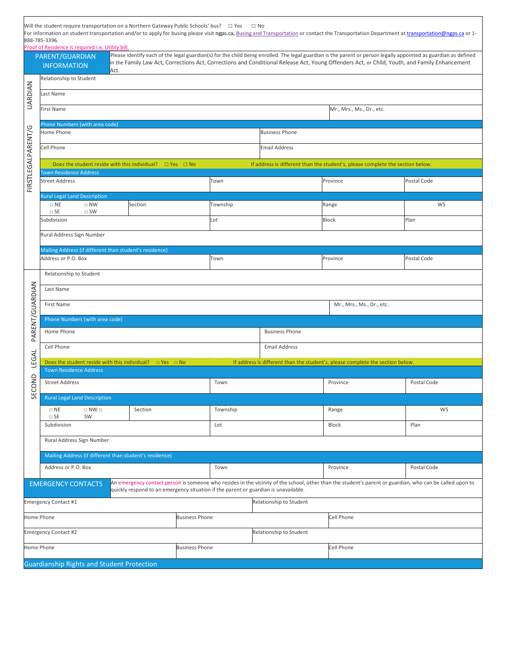|                    | 888-785-3396.<br>Proof of Residence is required i.e. Utility bill.                                                                                                                    | Will the student require transportation on a Northern Gateway Public Schools' bus? $\Box$ Yes |                       | $\Box$ No                 |                         | For information on student transportation and/or to apply for busing please visit ngps.ca, Busing and Transportation or contact the Transportation Department at transportation@ngps.ca or 1-                                                                                                                    |                |  |  |  |
|--------------------|---------------------------------------------------------------------------------------------------------------------------------------------------------------------------------------|-----------------------------------------------------------------------------------------------|-----------------------|---------------------------|-------------------------|------------------------------------------------------------------------------------------------------------------------------------------------------------------------------------------------------------------------------------------------------------------------------------------------------------------|----------------|--|--|--|
|                    | PARENT/GUARDIAN<br><b>INFORMATION</b>                                                                                                                                                 | Act.                                                                                          |                       |                           |                         | Please identify each of the legal guardian(s) for the child being enrolled. The legal guardian is the parent or person legally appointed as guardian as defined<br>in the Family Law Act, Corrections Act, Corrections and Conditional Release Act, Young Offenders Act, or Child, Youth, and Family Enhancement |                |  |  |  |
|                    | Relationship to Student                                                                                                                                                               |                                                                                               |                       |                           |                         |                                                                                                                                                                                                                                                                                                                  |                |  |  |  |
| UARDIAN            | Last Name                                                                                                                                                                             |                                                                                               |                       |                           |                         |                                                                                                                                                                                                                                                                                                                  |                |  |  |  |
|                    | First Name                                                                                                                                                                            |                                                                                               |                       | Mr., Mrs., Ms., Dr., etc. |                         |                                                                                                                                                                                                                                                                                                                  |                |  |  |  |
|                    | Phone Numbers (with area code)<br>Home Phone<br><b>Business Phone</b>                                                                                                                 |                                                                                               |                       |                           |                         |                                                                                                                                                                                                                                                                                                                  |                |  |  |  |
|                    | Cell Phone                                                                                                                                                                            |                                                                                               |                       |                           |                         |                                                                                                                                                                                                                                                                                                                  |                |  |  |  |
| FIRSTLEGALPARENT/G |                                                                                                                                                                                       |                                                                                               |                       |                           | <b>Email Address</b>    |                                                                                                                                                                                                                                                                                                                  |                |  |  |  |
|                    | <b>Town Residence Address</b>                                                                                                                                                         | Does the student reside with this individual? $\Box$ Yes $\Box$ No                            |                       |                           |                         | If address is different than the student's, please complete the section below.                                                                                                                                                                                                                                   |                |  |  |  |
|                    | <b>Street Address</b>                                                                                                                                                                 |                                                                                               |                       | Town                      |                         | Province                                                                                                                                                                                                                                                                                                         | Postal Code    |  |  |  |
|                    | <b>Rural Legal Land Description</b><br>$\Box$ NE<br>$\Box$ NW                                                                                                                         | Section                                                                                       |                       | Township                  |                         | Range                                                                                                                                                                                                                                                                                                            | W <sub>5</sub> |  |  |  |
|                    | $\Box$ SE<br>$\square$ SW<br>Subdivision                                                                                                                                              |                                                                                               |                       | Lot                       |                         | <b>Block</b>                                                                                                                                                                                                                                                                                                     | Plan           |  |  |  |
|                    |                                                                                                                                                                                       |                                                                                               |                       |                           |                         |                                                                                                                                                                                                                                                                                                                  |                |  |  |  |
|                    | Rural Address Sign Number                                                                                                                                                             |                                                                                               |                       |                           |                         |                                                                                                                                                                                                                                                                                                                  |                |  |  |  |
|                    | Address or P.O. Box                                                                                                                                                                   | Mailing Address (if different than student's residence)                                       |                       | Town                      |                         | Province                                                                                                                                                                                                                                                                                                         | Postal Code    |  |  |  |
|                    | Relationship to Student                                                                                                                                                               |                                                                                               |                       |                           |                         |                                                                                                                                                                                                                                                                                                                  |                |  |  |  |
|                    | Last Name                                                                                                                                                                             |                                                                                               |                       |                           |                         |                                                                                                                                                                                                                                                                                                                  |                |  |  |  |
|                    | First Name                                                                                                                                                                            |                                                                                               |                       |                           |                         | Mr., Mrs., Ms., Dr., etc.                                                                                                                                                                                                                                                                                        |                |  |  |  |
|                    | Phone Numbers (with area code)                                                                                                                                                        |                                                                                               |                       |                           |                         |                                                                                                                                                                                                                                                                                                                  |                |  |  |  |
| PARENT/GUARDIAN    | Home Phone                                                                                                                                                                            |                                                                                               |                       |                           | <b>Business Phone</b>   |                                                                                                                                                                                                                                                                                                                  |                |  |  |  |
|                    | Cell Phone                                                                                                                                                                            |                                                                                               |                       |                           | <b>Email Address</b>    |                                                                                                                                                                                                                                                                                                                  |                |  |  |  |
| LEGAL              | Does the student reside with this individual? $\Box$ Yes $\Box$ No<br>If address is different than the student's, please complete the section below.<br><b>Town Residence Address</b> |                                                                                               |                       |                           |                         |                                                                                                                                                                                                                                                                                                                  |                |  |  |  |
|                    | <b>Street Address</b>                                                                                                                                                                 |                                                                                               |                       | Town                      |                         | Province                                                                                                                                                                                                                                                                                                         | Postal Code    |  |  |  |
| SECOND             | <b>Rural Legal Land Description</b>                                                                                                                                                   |                                                                                               |                       |                           |                         |                                                                                                                                                                                                                                                                                                                  |                |  |  |  |
|                    | $\Box$ NE<br>$\Box$ NW $\Box$<br>Section                                                                                                                                              |                                                                                               |                       | Township                  |                         | Range                                                                                                                                                                                                                                                                                                            | W <sub>5</sub> |  |  |  |
|                    | $\Box$ SE<br>SW<br>Subdivision                                                                                                                                                        |                                                                                               | Lot                   |                           | Block                   | Plan                                                                                                                                                                                                                                                                                                             |                |  |  |  |
|                    | Rural Address Sign Number                                                                                                                                                             |                                                                                               |                       |                           |                         |                                                                                                                                                                                                                                                                                                                  |                |  |  |  |
|                    |                                                                                                                                                                                       | Mailing Address (if different than student's residence)                                       |                       |                           |                         |                                                                                                                                                                                                                                                                                                                  |                |  |  |  |
|                    | Address or P.O. Box<br>Town                                                                                                                                                           |                                                                                               |                       |                           |                         | Province                                                                                                                                                                                                                                                                                                         | Postal Code    |  |  |  |
|                    | <b>EMERGENCY CONTACTS</b>                                                                                                                                                             | quickly respond to an emergency situation if the parent or guardian is unavailable.           |                       |                           |                         | An emergency contact person is someone who resides in the vicinity of the school, other than the student's parent or guardian, who can be called upon to                                                                                                                                                         |                |  |  |  |
|                    | Emergency Contact #1                                                                                                                                                                  |                                                                                               |                       |                           | Relationship to Student |                                                                                                                                                                                                                                                                                                                  |                |  |  |  |
|                    | Home Phone                                                                                                                                                                            |                                                                                               | <b>Business Phone</b> |                           |                         | Cell Phone                                                                                                                                                                                                                                                                                                       |                |  |  |  |
|                    | Emergency Contact #2                                                                                                                                                                  |                                                                                               |                       |                           | Relationship to Student |                                                                                                                                                                                                                                                                                                                  |                |  |  |  |
|                    | Home Phone                                                                                                                                                                            |                                                                                               | <b>Business Phone</b> |                           |                         | Cell Phone                                                                                                                                                                                                                                                                                                       |                |  |  |  |
|                    | <b>Guardianship Rights and Student Protection</b>                                                                                                                                     |                                                                                               |                       |                           |                         |                                                                                                                                                                                                                                                                                                                  |                |  |  |  |

٦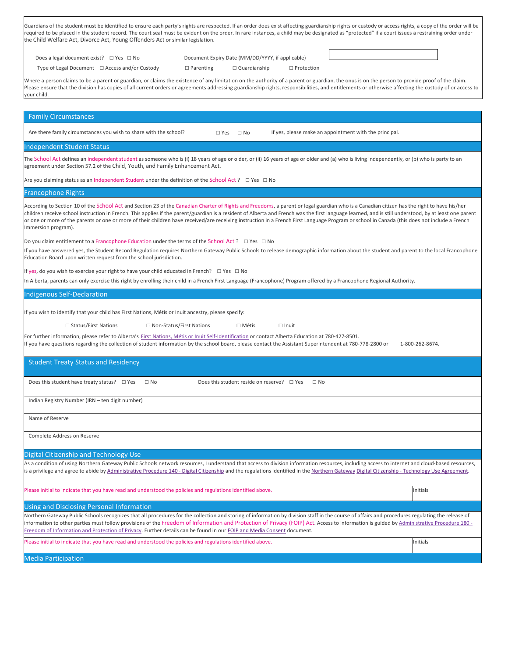| Guardians of the student must be identified to ensure each party's rights are respected. If an order does exist affecting guardianship rights or custody or access rights, a copy of the order will be |
|--------------------------------------------------------------------------------------------------------------------------------------------------------------------------------------------------------|
| required to be placed in the student record. The court seal must be evident on the order. In rare instances, a child may be designated as "protected" if a court issues a restraining order under      |
| the Child Welfare Act, Divorce Act, Young Offenders Act or similar legislation.                                                                                                                        |

| Does a legal document exist? □ Yes □ No |  |  |  |
|-----------------------------------------|--|--|--|
|-----------------------------------------|--|--|--|

Type of Legal Document □ Access and/or Custody □ Parenting □ Guardianship □ Protection

Document Expiry Date (MM/DD/YYYY, if applicable)

Where a person claims to be a parent or guardian, or claims the existence of any limitation on the authority of a parent or guardian, the onus is on the person to provide proof of the claim. Please ensure that the division has copies of all current orders or agreements addressing guardianship rights, responsibilities, and entitlements or otherwise affecting the custody of or access to your child.

| <b>Family Circumstances</b>                                                                                                                                                                                                                                                                                                                                                                                                                                                                                                                                                                                                   |                 |
|-------------------------------------------------------------------------------------------------------------------------------------------------------------------------------------------------------------------------------------------------------------------------------------------------------------------------------------------------------------------------------------------------------------------------------------------------------------------------------------------------------------------------------------------------------------------------------------------------------------------------------|-----------------|
| Are there family circumstances you wish to share with the school?<br>If yes, please make an appointment with the principal.<br>$\square$ No<br>$\square$ Yes                                                                                                                                                                                                                                                                                                                                                                                                                                                                  |                 |
| Independent Student Status                                                                                                                                                                                                                                                                                                                                                                                                                                                                                                                                                                                                    |                 |
| The School Act defines an independent student as someone who is (i) 18 years of age or older, or (ii) 16 years of age or older and (a) who is living independently, or (b) who is party to an<br>agreement under Section 57.2 of the Child, Youth, and Family Enhancement Act.                                                                                                                                                                                                                                                                                                                                                |                 |
| Are you claiming status as an Independent Student under the definition of the School Act ? $\Box$ Yes $\Box$ No                                                                                                                                                                                                                                                                                                                                                                                                                                                                                                               |                 |
| Francophone Rights                                                                                                                                                                                                                                                                                                                                                                                                                                                                                                                                                                                                            |                 |
| According to Section 10 of the School Act and Section 23 of the Canadian Charter of Rights and Freedoms, a parent or legal guardian who is a Canadian citizen has the right to have his/her<br>children receive school instruction in French. This applies if the parent/guardian is a resident of Alberta and French was the first language learned, and is still understood, by at least one parent<br>or one or more of the parents or one or more of their children have received/are receiving instruction in a French First Language Program or school in Canada (this does not include a French<br>Immersion program). |                 |
| Do you claim entitlement to a Francophone Education under the terms of the School Act ? $\Box$ Yes $\Box$ No                                                                                                                                                                                                                                                                                                                                                                                                                                                                                                                  |                 |
| If you have answered yes, the Student Record Regulation requires Northern Gateway Public Schools to release demographic information about the student and parent to the local Francophone<br>Education Board upon written request from the school jurisdiction.                                                                                                                                                                                                                                                                                                                                                               |                 |
| If yes, do you wish to exercise your right to have your child educated in French? $\Box$ Yes $\Box$ No                                                                                                                                                                                                                                                                                                                                                                                                                                                                                                                        |                 |
| In Alberta, parents can only exercise this right by enrolling their child in a French First Language (Francophone) Program offered by a Francophone Regional Authority.                                                                                                                                                                                                                                                                                                                                                                                                                                                       |                 |
| <b>Indigenous Self-Declaration</b>                                                                                                                                                                                                                                                                                                                                                                                                                                                                                                                                                                                            |                 |
| If you wish to identify that your child has First Nations, Métis or Inuit ancestry, please specify:                                                                                                                                                                                                                                                                                                                                                                                                                                                                                                                           |                 |
| □ Status/First Nations<br>□ Non-Status/First Nations<br>$\Box$ Métis<br>$\Box$ Inuit                                                                                                                                                                                                                                                                                                                                                                                                                                                                                                                                          |                 |
| For further information, please refer to Alberta's First Nations, Métis or Inuit Self-Identification or contact Alberta Education at 780-427-8501.                                                                                                                                                                                                                                                                                                                                                                                                                                                                            |                 |
| If you have questions regarding the collection of student information by the school board, please contact the Assistant Superintendent at 780-778-2800 or                                                                                                                                                                                                                                                                                                                                                                                                                                                                     | 1-800-262-8674. |
| <b>Student Treaty Status and Residency</b>                                                                                                                                                                                                                                                                                                                                                                                                                                                                                                                                                                                    |                 |
| Does this student have treaty status? $\Box$ Yes $\Box$ No<br>Does this student reside on reserve? $\Box$ Yes<br>$\Box$ No                                                                                                                                                                                                                                                                                                                                                                                                                                                                                                    |                 |
| Indian Registry Number (IRN - ten digit number)                                                                                                                                                                                                                                                                                                                                                                                                                                                                                                                                                                               |                 |
| Name of Reserve                                                                                                                                                                                                                                                                                                                                                                                                                                                                                                                                                                                                               |                 |
| Complete Address on Reserve                                                                                                                                                                                                                                                                                                                                                                                                                                                                                                                                                                                                   |                 |
| Digital Citizenship and Technology Use                                                                                                                                                                                                                                                                                                                                                                                                                                                                                                                                                                                        |                 |
| As a condition of using Northern Gateway Public Schools network resources, I understand that access to division information resources, including access to internet and cloud-based resources,<br>is a privilege and agree to abide by Administrative Procedure 140 - Digital Citizenship and the regulations identified in the Northern Gateway Digital Citizenship - Technology Use Agreement.                                                                                                                                                                                                                              |                 |
| Please initial to indicate that you have read and understood the policies and regulations identified above.                                                                                                                                                                                                                                                                                                                                                                                                                                                                                                                   | Initials        |
| Using and Disclosing Personal Information                                                                                                                                                                                                                                                                                                                                                                                                                                                                                                                                                                                     |                 |
| Northern Gateway Public Schools recognizes that all procedures for the collection and storing of information by division staff in the course of affairs and procedures regulating the release of<br>information to other parties must follow provisions of the Freedom of Information and Protection of Privacy (FOIP) Act. Access to information is guided by Administrative Procedure 180 -<br>Freedom of Information and Protection of Privacy. Further details can be found in our FOIP and Media Consent document.                                                                                                       |                 |
|                                                                                                                                                                                                                                                                                                                                                                                                                                                                                                                                                                                                                               |                 |
| Please initial to indicate that you have read and understood the policies and regulations identified above.                                                                                                                                                                                                                                                                                                                                                                                                                                                                                                                   | Initials        |